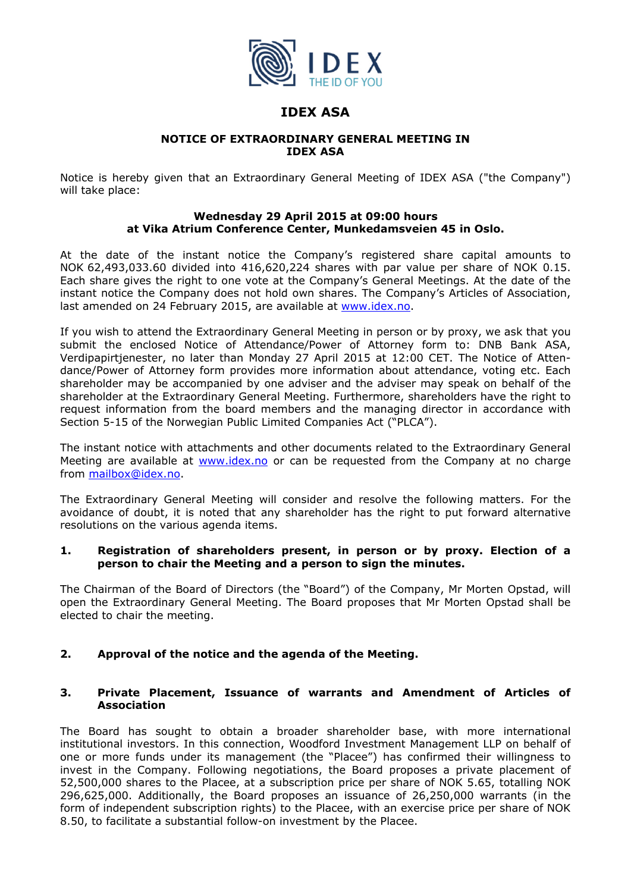

# **IDEX ASA**

## **NOTICE OF EXTRAORDINARY GENERAL MEETING IN IDEX ASA**

Notice is hereby given that an Extraordinary General Meeting of IDEX ASA ("the Company") will take place:

## **Wednesday 29 April 2015 at 09:00 hours at Vika Atrium Conference Center, Munkedamsveien 45 in Oslo.**

At the date of the instant notice the Company's registered share capital amounts to NOK 62,493,033.60 divided into 416,620,224 shares with par value per share of NOK 0.15. Each share gives the right to one vote at the Company's General Meetings. At the date of the instant notice the Company does not hold own shares. The Company's Articles of Association, last amended on 24 February 2015, are available at www.idex.no.

If you wish to attend the Extraordinary General Meeting in person or by proxy, we ask that you submit the enclosed Notice of Attendance/Power of Attorney form to: DNB Bank ASA, Verdipapirtjenester, no later than Monday 27 April 2015 at 12:00 CET. The Notice of Attendance/Power of Attorney form provides more information about attendance, voting etc. Each shareholder may be accompanied by one adviser and the adviser may speak on behalf of the shareholder at the Extraordinary General Meeting. Furthermore, shareholders have the right to request information from the board members and the managing director in accordance with Section 5-15 of the Norwegian Public Limited Companies Act ("PLCA").

The instant notice with attachments and other documents related to the Extraordinary General Meeting are available at www.idex.no or can be requested from the Company at no charge from mailbox@idex.no.

The Extraordinary General Meeting will consider and resolve the following matters. For the avoidance of doubt, it is noted that any shareholder has the right to put forward alternative resolutions on the various agenda items.

## **1. Registration of shareholders present, in person or by proxy. Election of a person to chair the Meeting and a person to sign the minutes.**

The Chairman of the Board of Directors (the "Board") of the Company, Mr Morten Opstad, will open the Extraordinary General Meeting. The Board proposes that Mr Morten Opstad shall be elected to chair the meeting.

## **2. Approval of the notice and the agenda of the Meeting.**

## **3. Private Placement, Issuance of warrants and Amendment of Articles of Association**

The Board has sought to obtain a broader shareholder base, with more international institutional investors. In this connection, Woodford Investment Management LLP on behalf of one or more funds under its management (the "Placee") has confirmed their willingness to invest in the Company. Following negotiations, the Board proposes a private placement of 52,500,000 shares to the Placee, at a subscription price per share of NOK 5.65, totalling NOK 296,625,000. Additionally, the Board proposes an issuance of 26,250,000 warrants (in the form of independent subscription rights) to the Placee, with an exercise price per share of NOK 8.50, to facilitate a substantial follow-on investment by the Placee.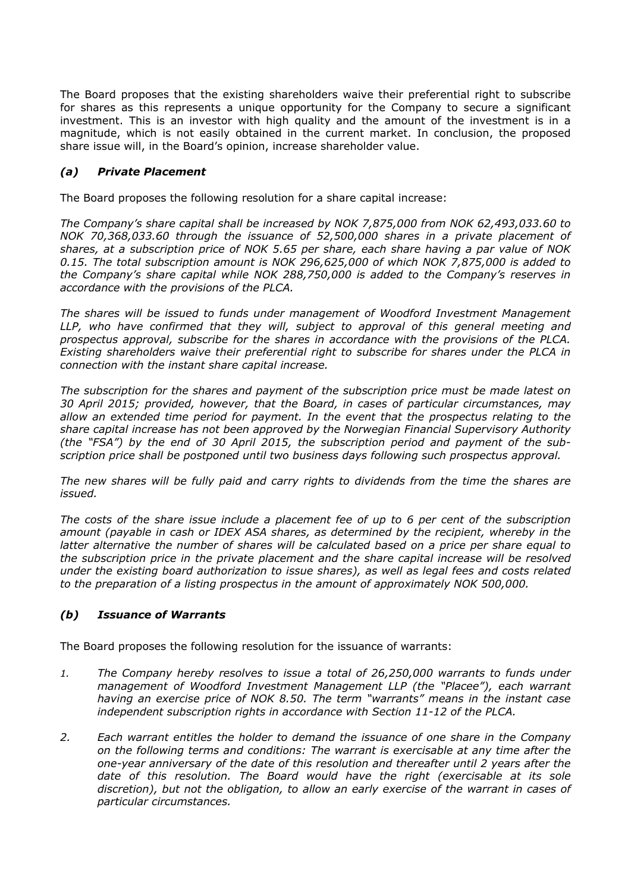The Board proposes that the existing shareholders waive their preferential right to subscribe for shares as this represents a unique opportunity for the Company to secure a significant investment. This is an investor with high quality and the amount of the investment is in a magnitude, which is not easily obtained in the current market. In conclusion, the proposed share issue will, in the Board's opinion, increase shareholder value.

## *(a) Private Placement*

The Board proposes the following resolution for a share capital increase:

*The Company's share capital shall be increased by NOK 7,875,000 from NOK 62,493,033.60 to NOK 70,368,033.60 through the issuance of 52,500,000 shares in a private placement of shares, at a subscription price of NOK 5.65 per share, each share having a par value of NOK 0.15. The total subscription amount is NOK 296,625,000 of which NOK 7,875,000 is added to the Company's share capital while NOK 288,750,000 is added to the Company's reserves in accordance with the provisions of the PLCA.* 

*The shares will be issued to funds under management of Woodford Investment Management LLP, who have confirmed that they will, subject to approval of this general meeting and prospectus approval, subscribe for the shares in accordance with the provisions of the PLCA. Existing shareholders waive their preferential right to subscribe for shares under the PLCA in connection with the instant share capital increase.* 

*The subscription for the shares and payment of the subscription price must be made latest on 30 April 2015; provided, however, that the Board, in cases of particular circumstances, may allow an extended time period for payment. In the event that the prospectus relating to the share capital increase has not been approved by the Norwegian Financial Supervisory Authority (the "FSA") by the end of 30 April 2015, the subscription period and payment of the subscription price shall be postponed until two business days following such prospectus approval.* 

*The new shares will be fully paid and carry rights to dividends from the time the shares are issued.* 

*The costs of the share issue include a placement fee of up to 6 per cent of the subscription amount (payable in cash or IDEX ASA shares, as determined by the recipient, whereby in the latter alternative the number of shares will be calculated based on a price per share equal to the subscription price in the private placement and the share capital increase will be resolved under the existing board authorization to issue shares), as well as legal fees and costs related to the preparation of a listing prospectus in the amount of approximately NOK 500,000.* 

## *(b) Issuance of Warrants*

The Board proposes the following resolution for the issuance of warrants:

- *1. The Company hereby resolves to issue a total of 26,250,000 warrants to funds under management of Woodford Investment Management LLP (the "Placee"), each warrant having an exercise price of NOK 8.50. The term "warrants" means in the instant case independent subscription rights in accordance with Section 11-12 of the PLCA.*
- *2. Each warrant entitles the holder to demand the issuance of one share in the Company on the following terms and conditions: The warrant is exercisable at any time after the one-year anniversary of the date of this resolution and thereafter until 2 years after the date of this resolution. The Board would have the right (exercisable at its sole discretion), but not the obligation, to allow an early exercise of the warrant in cases of particular circumstances.*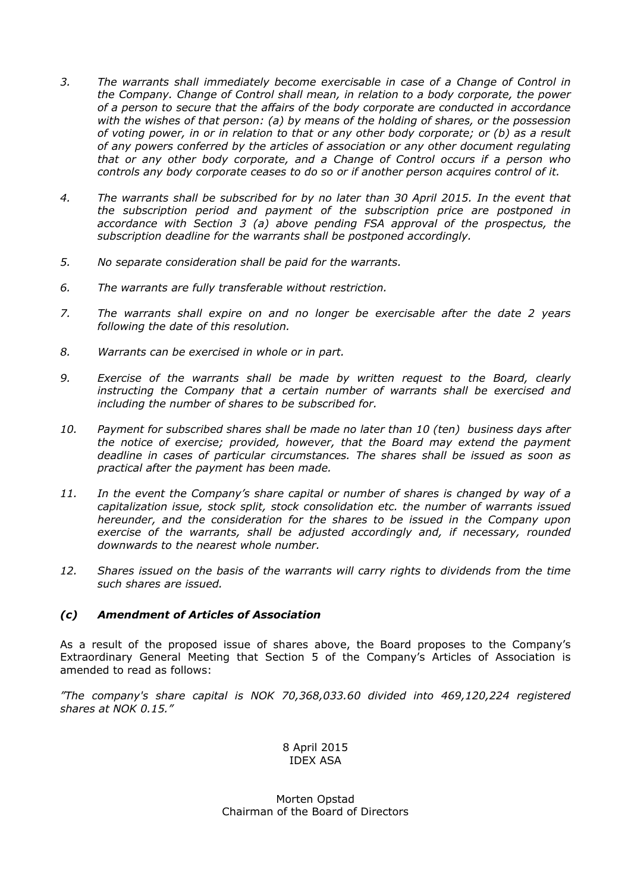- *3. The warrants shall immediately become exercisable in case of a Change of Control in the Company. Change of Control shall mean, in relation to a body corporate, the power of a person to secure that the affairs of the body corporate are conducted in accordance with the wishes of that person: (a) by means of the holding of shares, or the possession of voting power, in or in relation to that or any other body corporate; or (b) as a result of any powers conferred by the articles of association or any other document regulating that or any other body corporate, and a Change of Control occurs if a person who controls any body corporate ceases to do so or if another person acquires control of it.*
- *4. The warrants shall be subscribed for by no later than 30 April 2015. In the event that the subscription period and payment of the subscription price are postponed in accordance with Section 3 (a) above pending FSA approval of the prospectus, the subscription deadline for the warrants shall be postponed accordingly.*
- *5. No separate consideration shall be paid for the warrants.*
- *6. The warrants are fully transferable without restriction.*
- *7. The warrants shall expire on and no longer be exercisable after the date 2 years following the date of this resolution.*
- *8. Warrants can be exercised in whole or in part.*
- *9. Exercise of the warrants shall be made by written request to the Board, clearly instructing the Company that a certain number of warrants shall be exercised and including the number of shares to be subscribed for.*
- *10. Payment for subscribed shares shall be made no later than 10 (ten) business days after the notice of exercise; provided, however, that the Board may extend the payment deadline in cases of particular circumstances. The shares shall be issued as soon as practical after the payment has been made.*
- *11. In the event the Company's share capital or number of shares is changed by way of a capitalization issue, stock split, stock consolidation etc. the number of warrants issued hereunder, and the consideration for the shares to be issued in the Company upon exercise of the warrants, shall be adjusted accordingly and, if necessary, rounded downwards to the nearest whole number.*
- *12. Shares issued on the basis of the warrants will carry rights to dividends from the time such shares are issued.*

## *(c) Amendment of Articles of Association*

As a result of the proposed issue of shares above, the Board proposes to the Company's Extraordinary General Meeting that Section 5 of the Company's Articles of Association is amended to read as follows:

*"The company's share capital is NOK 70,368,033.60 divided into 469,120,224 registered shares at NOK 0.15."* 

> 8 April 2015 IDEX ASA

Morten Opstad Chairman of the Board of Directors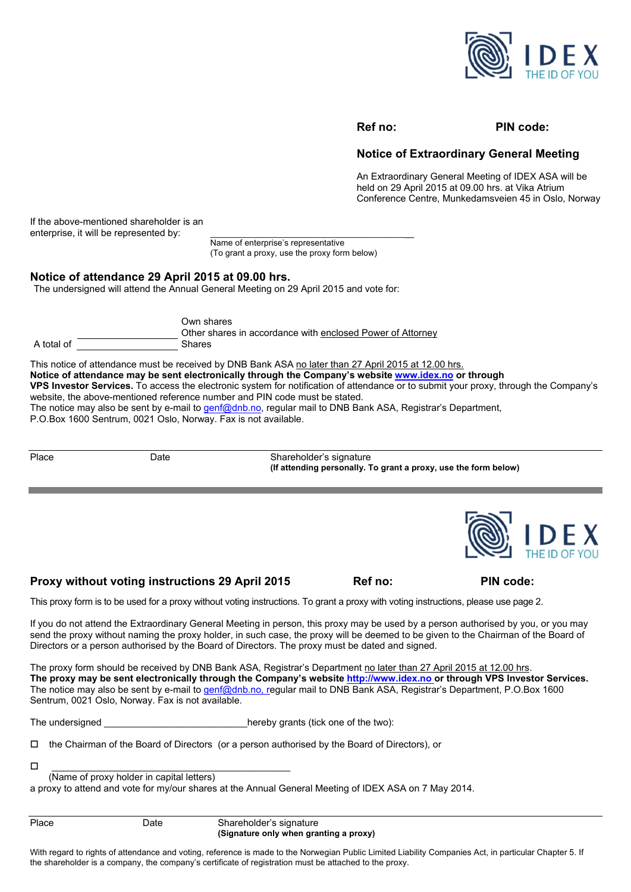

#### **Ref no: PIN code:**

## **Notice of Extraordinary General Meeting**

An Extraordinary General Meeting of IDEX ASA will be held on 29 April 2015 at 09.00 hrs. at Vika Atrium Conference Centre, Munkedamsveien 45 in Oslo, Norway

If the above-mentioned shareholder is an enterprise, it will be represented by:

> Name of enterprise's representative (To grant a proxy, use the proxy form below)

#### **Notice of attendance 29 April 2015 at 09.00 hrs.**

The undersigned will attend the Annual General Meeting on 29 April 2015 and vote for:

|            | Own shares<br>Other shares in accordance with enclosed Power of Attorney |
|------------|--------------------------------------------------------------------------|
| A total of | <b>Shares</b>                                                            |

This notice of attendance must be received by DNB Bank ASA no later than 27 April 2015 at 12.00 hrs. **Notice of attendance may be sent electronically through the Company's website www.idex.no or through VPS Investor Services.** To access the electronic system for notification of attendance or to submit your proxy, through the Company's website, the above-mentioned reference number and PIN code must be stated. The notice may also be sent by e-mail to genf@dnb.no, regular mail to DNB Bank ASA, Registrar's Department,

P.O.Box 1600 Sentrum, 0021 Oslo, Norway. Fax is not available.

Place Date Date Shareholder's signature  **(If attending personally. To grant a proxy, use the form below)** 



Proxy without voting instructions 29 April 2015 Ref no: PIN code:

This proxy form is to be used for a proxy without voting instructions. To grant a proxy with voting instructions, please use page 2.

If you do not attend the Extraordinary General Meeting in person, this proxy may be used by a person authorised by you, or you may send the proxy without naming the proxy holder, in such case, the proxy will be deemed to be given to the Chairman of the Board of Directors or a person authorised by the Board of Directors. The proxy must be dated and signed.

The proxy form should be received by DNB Bank ASA, Registrar's Department no later than 27 April 2015 at 12.00 hrs. **The proxy may be sent electronically through the Company's website http://www.idex.no or through VPS Investor Services.**  The notice may also be sent by e-mail to genf@dnb.no, regular mail to DNB Bank ASA, Registrar's Department, P.O.Box 1600 Sentrum, 0021 Oslo, Norway. Fax is not available.

The undersigned The undersigned and the two set of the two set of the two set of the two set of the two set of the two set of the two set of the two set of the two set of the two set of the two set of the two set of the tw

 $\Box$  the Chairman of the Board of Directors (or a person authorised by the Board of Directors), or

\_\_\_\_\_\_\_\_\_\_\_\_\_\_\_\_\_\_\_\_\_\_\_\_\_\_\_\_\_\_\_\_\_\_\_\_\_\_\_\_\_\_\_\_\_

(Name of proxy holder in capital letters)

a proxy to attend and vote for my/our shares at the Annual General Meeting of IDEX ASA on 7 May 2014.

Place Date Shareholder's signature  **(Signature only when granting a proxy)** 

With regard to rights of attendance and voting, reference is made to the Norwegian Public Limited Liability Companies Act, in particular Chapter 5. If the shareholder is a company, the company's certificate of registration must be attached to the proxy.